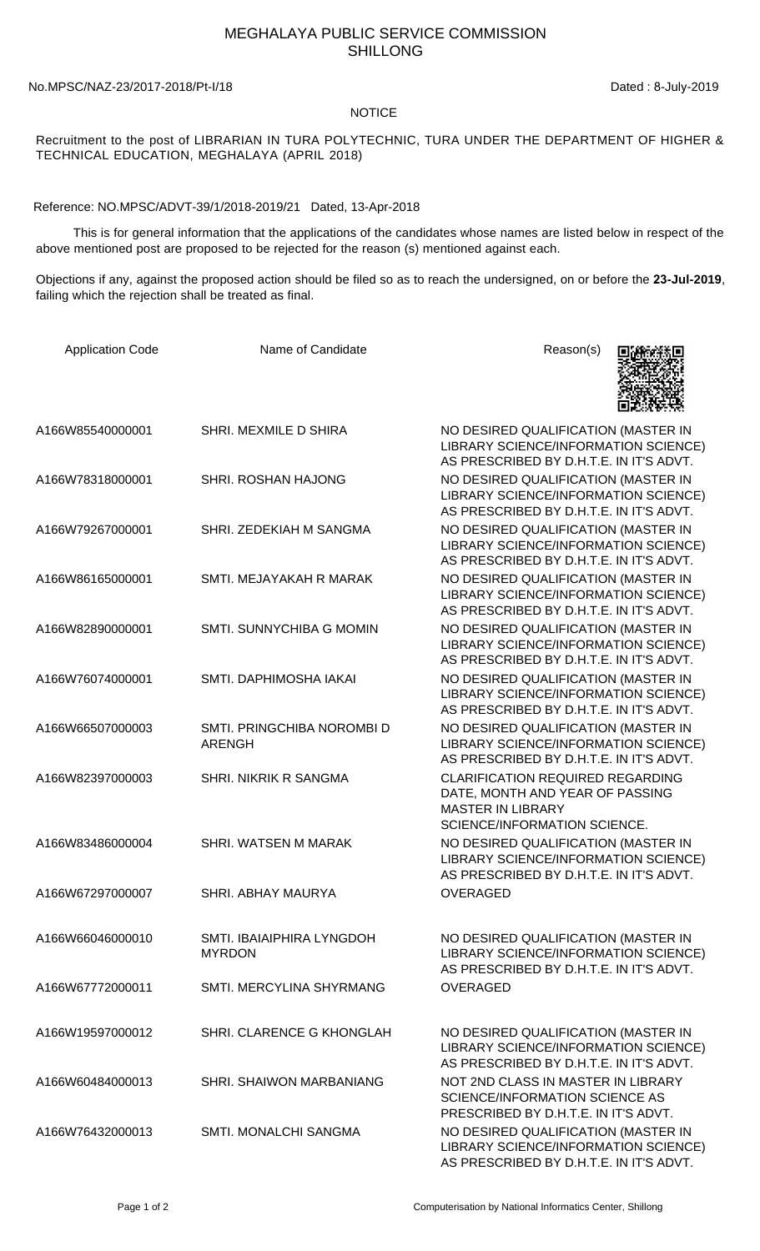## MEGHALAYA PUBLIC SERVICE COMMISSION SHILLONG

## No.MPSC/NAZ-23/2017-2018/Pt-I/18 Dated : 8-July-2019

## NOTICE

Recruitment to the post of LIBRARIAN IN TURA POLYTECHNIC, TURA UNDER THE DEPARTMENT OF HIGHER & TECHNICAL EDUCATION, MEGHALAYA (APRIL 2018)

Reference: NO.MPSC/ADVT-39/1/2018-2019/21 Dated, 13-Apr-2018

 This is for general information that the applications of the candidates whose names are listed below in respect of the above mentioned post are proposed to be rejected for the reason (s) mentioned against each.

Objections if any, against the proposed action should be filed so as to reach the undersigned, on or before the **23-Jul-2019**, failing which the rejection shall be treated as final.

| <b>Application Code</b> | Name of Candidate                           | Reason(s)                                                                                                                                     |
|-------------------------|---------------------------------------------|-----------------------------------------------------------------------------------------------------------------------------------------------|
| A166W85540000001        | SHRI. MEXMILE D SHIRA                       | NO DESIRED QUALIFICATION (MASTER IN<br>LIBRARY SCIENCE/INFORMATION SCIENCE)<br>AS PRESCRIBED BY D.H.T.E. IN IT'S ADVT.                        |
| A166W78318000001        | <b>SHRI. ROSHAN HAJONG</b>                  | NO DESIRED QUALIFICATION (MASTER IN<br>LIBRARY SCIENCE/INFORMATION SCIENCE)<br>AS PRESCRIBED BY D.H.T.E. IN IT'S ADVT.                        |
| A166W79267000001        | SHRI. ZEDEKIAH M SANGMA                     | NO DESIRED QUALIFICATION (MASTER IN<br>LIBRARY SCIENCE/INFORMATION SCIENCE)<br>AS PRESCRIBED BY D.H.T.E. IN IT'S ADVT.                        |
| A166W86165000001        | SMTI. MEJAYAKAH R MARAK                     | NO DESIRED QUALIFICATION (MASTER IN<br>LIBRARY SCIENCE/INFORMATION SCIENCE)<br>AS PRESCRIBED BY D.H.T.E. IN IT'S ADVT.                        |
| A166W82890000001        | SMTI. SUNNYCHIBA G MOMIN                    | NO DESIRED QUALIFICATION (MASTER IN<br>LIBRARY SCIENCE/INFORMATION SCIENCE)<br>AS PRESCRIBED BY D.H.T.E. IN IT'S ADVT.                        |
| A166W76074000001        | SMTI. DAPHIMOSHA IAKAI                      | NO DESIRED QUALIFICATION (MASTER IN<br>LIBRARY SCIENCE/INFORMATION SCIENCE)<br>AS PRESCRIBED BY D.H.T.E. IN IT'S ADVT.                        |
| A166W66507000003        | SMTI. PRINGCHIBA NOROMBI D<br><b>ARENGH</b> | NO DESIRED QUALIFICATION (MASTER IN<br>LIBRARY SCIENCE/INFORMATION SCIENCE)<br>AS PRESCRIBED BY D.H.T.E. IN IT'S ADVT.                        |
| A166W82397000003        | SHRI. NIKRIK R SANGMA                       | <b>CLARIFICATION REQUIRED REGARDING</b><br>DATE, MONTH AND YEAR OF PASSING<br><b>MASTER IN LIBRARY</b><br><b>SCIENCE/INFORMATION SCIENCE.</b> |
| A166W83486000004        | SHRI. WATSEN M MARAK                        | NO DESIRED QUALIFICATION (MASTER IN<br>LIBRARY SCIENCE/INFORMATION SCIENCE)<br>AS PRESCRIBED BY D.H.T.E. IN IT'S ADVT.                        |
| A166W67297000007        | <b>SHRI. ABHAY MAURYA</b>                   | <b>OVERAGED</b>                                                                                                                               |
| A166W66046000010        | SMTI. IBAIAIPHIRA LYNGDOH<br><b>MYRDON</b>  | NO DESIRED QUALIFICATION (MASTER IN<br>LIBRARY SCIENCE/INFORMATION SCIENCE)<br>AS PRESCRIBED BY D.H.T.E. IN IT'S ADVT.                        |
| A166W67772000011        | SMTI. MERCYLINA SHYRMANG                    | <b>OVERAGED</b>                                                                                                                               |
| A166W19597000012        | SHRI. CLARENCE G KHONGLAH                   | NO DESIRED QUALIFICATION (MASTER IN<br>LIBRARY SCIENCE/INFORMATION SCIENCE)<br>AS PRESCRIBED BY D.H.T.E. IN IT'S ADVT.                        |
| A166W60484000013        | SHRI. SHAIWON MARBANIANG                    | NOT 2ND CLASS IN MASTER IN LIBRARY<br>SCIENCE/INFORMATION SCIENCE AS<br>PRESCRIBED BY D.H.T.E. IN IT'S ADVT.                                  |
| A166W76432000013        | SMTI. MONALCHI SANGMA                       | NO DESIRED QUALIFICATION (MASTER IN<br>LIBRARY SCIENCE/INFORMATION SCIENCE)<br>AS PRESCRIBED BY D.H.T.E. IN IT'S ADVT.                        |